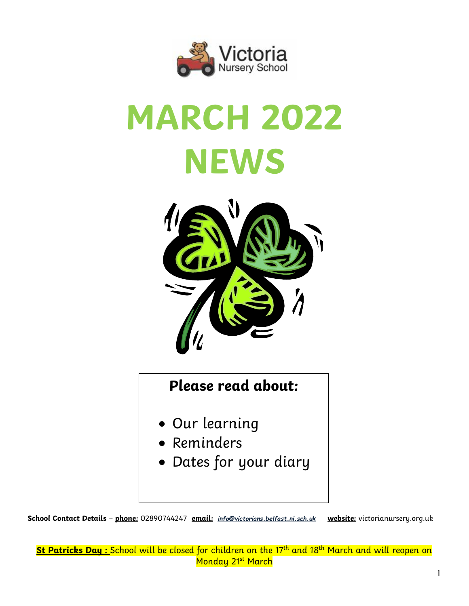

# **MARCH 2022 NEWS**



# **Please read about:**

- Our learning
- Reminders
- Dates for your diary

**School Contact Details** – **phone:** 02890744247 **email:** *[info@victorians.belfast.ni.sch.uk](mailto:info@victorians.belfast.ni.sch.uk)* **website:** victorianursery.org.uk

**St Patricks Day :** School will be closed for children on the 17th and 18th March and will reopen on Monday 21<sup>st</sup> March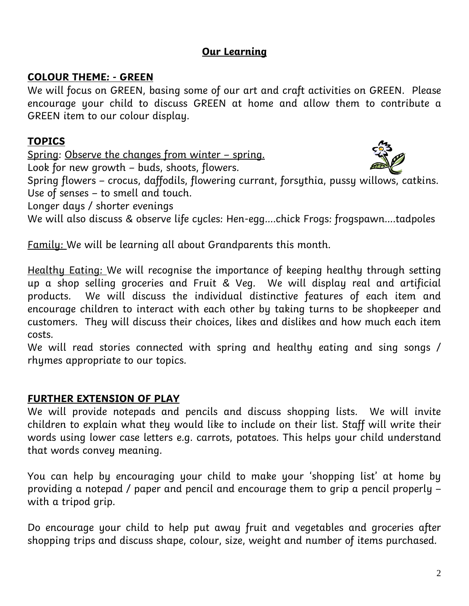# **Our Learning**

## **COLOUR THEME: - GREEN**

We will focus on GREEN, basing some of our art and craft activities on GREEN. Please encourage your child to discuss GREEN at home and allow them to contribute a GREEN item to our colour display.

# **TOPICS**

Spring: Observe the changes from winter – spring.

Look for new growth – buds, shoots, flowers.



Spring flowers – crocus, daffodils, flowering currant, forsythia, pussy willows, catkins. Use of senses – to smell and touch.

Longer days / shorter evenings

We will also discuss & observe life cycles: Hen-egg....chick Frogs: frogspawn....tadpoles

Family: We will be learning all about Grandparents this month.

Healthy Eating: We will recognise the importance of keeping healthy through setting up a shop selling groceries and Fruit & Veg. We will display real and artificial products. We will discuss the individual distinctive features of each item and encourage children to interact with each other by taking turns to be shopkeeper and customers. They will discuss their choices, likes and dislikes and how much each item costs.

We will read stories connected with spring and healthy eating and sing songs / rhymes appropriate to our topics.

# **FURTHER EXTENSION OF PLAY**

We will provide notepads and pencils and discuss shopping lists. We will invite children to explain what they would like to include on their list. Staff will write their words using lower case letters e.g. carrots, potatoes. This helps your child understand that words convey meaning.

You can help by encouraging your child to make your 'shopping list' at home by providing a notepad / paper and pencil and encourage them to grip a pencil properly – with a tripod grip.

Do encourage your child to help put away fruit and vegetables and groceries after shopping trips and discuss shape, colour, size, weight and number of items purchased.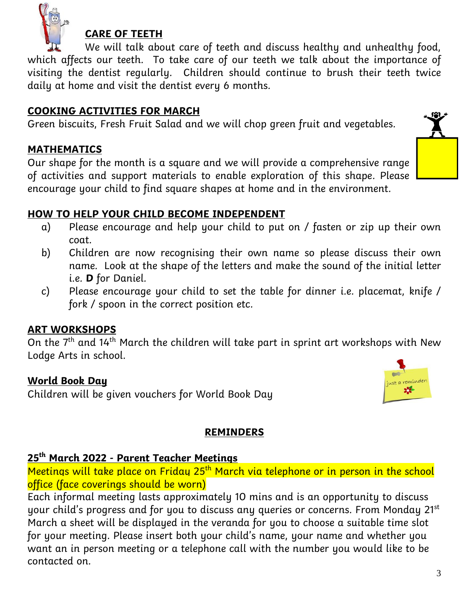

# **CARE OF TEETH**

We will talk about care of teeth and discuss healthy and unhealthy food, which affects our teeth. To take care of our teeth we talk about the importance of visiting the dentist regularly. Children should continue to brush their teeth twice daily at home and visit the dentist every 6 months.

#### **COOKING ACTIVITIES FOR MARCH**

Green biscuits, Fresh Fruit Salad and we will chop green fruit and vegetables.

#### **MATHEMATICS**

Our shape for the month is a square and we will provide a comprehensive range of activities and support materials to enable exploration of this shape. Please encourage your child to find square shapes at home and in the environment.

## **HOW TO HELP YOUR CHILD BECOME INDEPENDENT**

- a) Please encourage and help your child to put on / fasten or zip up their own coat.
- b) Children are now recognising their own name so please discuss their own name. Look at the shape of the letters and make the sound of the initial letter i.e. **D** for Daniel.
- c) Please encourage your child to set the table for dinner i.e. placemat, knife / fork / spoon in the correct position etc.

#### **ART WORKSHOPS**

On the  $7<sup>th</sup>$  and 14<sup>th</sup> March the children will take part in sprint art workshops with New Lodge Arts in school.

#### **World Book Day**

Children will be given vouchers for World Book Day

#### **REMINDERS**

#### **25th March 2022 - Parent Teacher Meetings**

Meetings will take place on Friday 25<sup>th</sup> March via telephone or in person in the school office (face coverings should be worn)

Each informal meeting lasts approximately 10 mins and is an opportunity to discuss your child's progress and for you to discuss any queries or concerns. From Monday 21st March a sheet will be displayed in the veranda for you to choose a suitable time slot for your meeting. Please insert both your child's name, your name and whether you want an in person meeting or a telephone call with the number you would like to be contacted on.

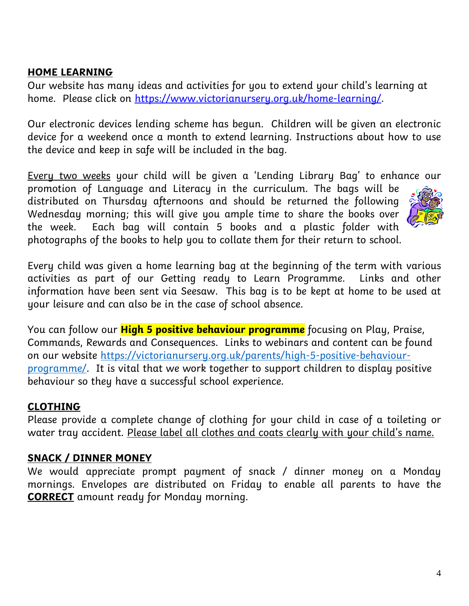#### **HOME LEARNING**

Our website has many ideas and activities for you to extend your child's learning at home. Please click on [https://www.victorianursery.org.uk/home-learning/.](https://www.victorianursery.org.uk/home-learning/)

Our electronic devices lending scheme has begun. Children will be given an electronic device for a weekend once a month to extend learning. Instructions about how to use the device and keep in safe will be included in the bag.

Every two weeks your child will be given a 'Lending Library Bag' to enhance our

promotion of Language and Literacy in the curriculum. The bags will be distributed on Thursday afternoons and should be returned the following Wednesday morning; this will give you ample time to share the books over the week. Each bag will contain 5 books and a plastic folder with photographs of the books to help you to collate them for their return to school.

Every child was given a home learning bag at the beginning of the term with various activities as part of our Getting ready to Learn Programme. Links and other information have been sent via Seesaw. This bag is to be kept at home to be used at your leisure and can also be in the case of school absence.

You can follow our **High 5 positive behaviour programme** focusing on Play, Praise, Commands, Rewards and Consequences. Links to webinars and content can be found on our website [https://victorianursery.org.uk/parents/high-5-positive-behaviour](https://victorianursery.org.uk/parents/high-5-positive-behaviour-programme/)[programme/.](https://victorianursery.org.uk/parents/high-5-positive-behaviour-programme/) It is vital that we work together to support children to display positive behaviour so they have a successful school experience.

#### **CLOTHING**

Please provide a complete change of clothing for your child in case of a toileting or water tray accident. Please label all clothes and coats clearly with your child's name.

## **SNACK / DINNER MONEY**

We would appreciate prompt payment of snack / dinner money on a Monday mornings. Envelopes are distributed on Friday to enable all parents to have the **CORRECT** amount ready for Monday morning.

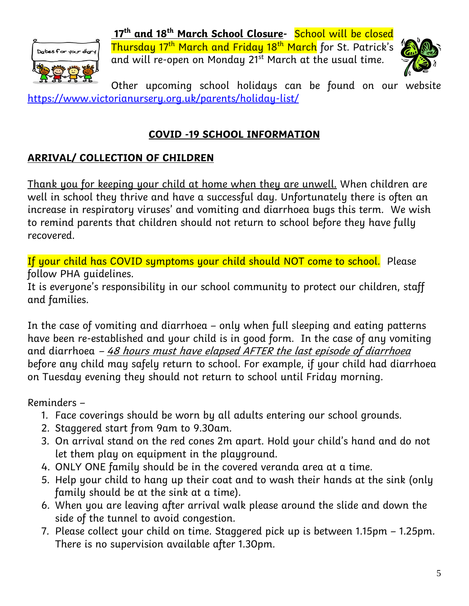

**17th and 18th March School Closure-** School will be closed Thursday 17th March and Friday 18th March for St. Patrick's and will re-open on Monday 21<sup>st</sup> March at the usual time.



Other upcoming school holidays can be found on our website <https://www.victorianursery.org.uk/parents/holiday-list/>

# **COVID -19 SCHOOL INFORMATION**

# **ARRIVAL/ COLLECTION OF CHILDREN**

Thank you for keeping your child at home when they are unwell. When children are well in school they thrive and have a successful day. Unfortunately there is often an increase in respiratory viruses' and vomiting and diarrhoea bugs this term. We wish to remind parents that children should not return to school before they have fully recovered.

If your child has COVID symptoms your child should NOT come to school. Please follow PHA guidelines.

It is everyone's responsibility in our school community to protect our children, staff and families.

In the case of vomiting and diarrhoea – only when full sleeping and eating patterns have been re-established and your child is in good form. In the case of any vomiting and diarrhoea  $-48$  hours must have elapsed AFTER the last episode of diarrhoea before any child may safely return to school. For example, if your child had diarrhoea on Tuesday evening they should not return to school until Friday morning.

Reminders –

- 1. Face coverings should be worn by all adults entering our school grounds.
- 2. Staggered start from 9am to 9.30am.
- 3. On arrival stand on the red cones 2m apart. Hold your child's hand and do not let them play on equipment in the playground.
- 4. ONLY ONE family should be in the covered veranda area at a time.
- 5. Help your child to hang up their coat and to wash their hands at the sink (only family should be at the sink at a time).
- 6. When you are leaving after arrival walk please around the slide and down the side of the tunnel to avoid congestion.
- 7. Please collect your child on time. Staggered pick up is between 1.15pm 1.25pm. There is no supervision available after 1.30pm.